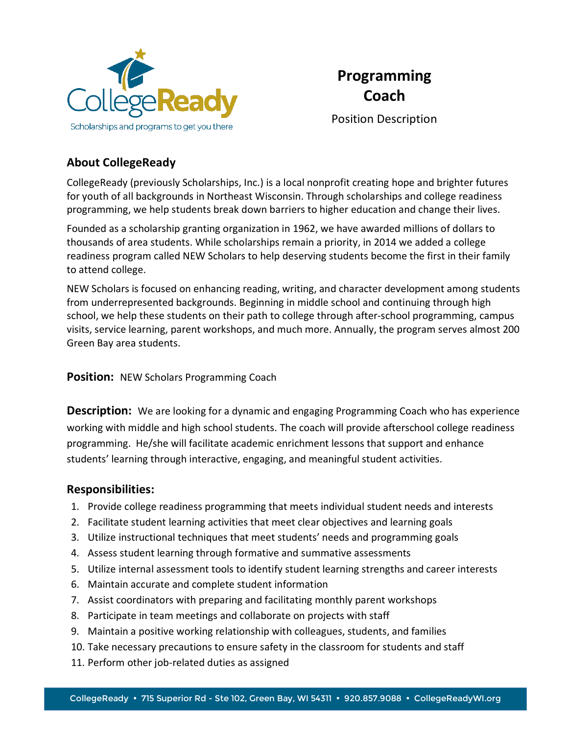



Position Description

## **About CollegeReady**

CollegeReady (previously Scholarships, Inc.) is a local nonprofit creating hope and brighter futures for youth of all backgrounds in Northeast Wisconsin. Through scholarships and college readiness programming, we help students break down barriers to higher education and change their lives.

Founded as a scholarship granting organization in 1962, we have awarded millions of dollars to thousands of area students. While scholarships remain a priority, in 2014 we added a college readiness program called NEW Scholars to help deserving students become the first in their family to attend college.

NEW Scholars is focused on enhancing reading, writing, and character development among students from underrepresented backgrounds. Beginning in middle school and continuing through high school, we help these students on their path to college through after-school programming, campus visits, service learning, parent workshops, and much more. Annually, the program serves almost 200 Green Bay area students.

**Position:** NEW Scholars Programming Coach

**Description:** We are looking for a dynamic and engaging Programming Coach who has experience working with middle and high school students. The coach will provide afterschool college readiness programming. He/she will facilitate academic enrichment lessons that support and enhance students' learning through interactive, engaging, and meaningful student activities.

#### **Responsibilities:**

- 1. Provide college readiness programming that meets individual student needs and interests
- 2. Facilitate student learning activities that meet clear objectives and learning goals
- 3. Utilize instructional techniques that meet students' needs and programming goals
- 4. Assess student learning through formative and summative assessments
- 5. Utilize internal assessment tools to identify student learning strengths and career interests
- 6. Maintain accurate and complete student information
- 7. Assist coordinators with preparing and facilitating monthly parent workshops
- 8. Participate in team meetings and collaborate on projects with staff
- 9. Maintain a positive working relationship with colleagues, students, and families
- 10. Take necessary precautions to ensure safety in the classroom for students and staff
- 11. Perform other job-related duties as assigned